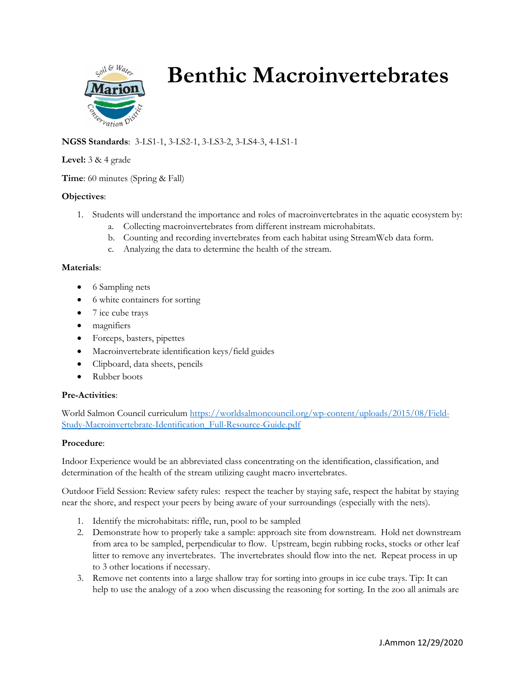

# **Benthic Macroinvertebrates**

# **NGSS Standards**: 3-LS1-1, 3-LS2-1, 3-LS3-2, 3-LS4-3, 4-LS1-1

#### **Level:** 3 & 4 grade

**Time**: 60 minutes (Spring & Fall)

## **Objectives**:

- 1. Students will understand the importance and roles of macroinvertebrates in the aquatic ecosystem by:
	- a. Collecting macroinvertebrates from different instream microhabitats.
	- b. Counting and recording invertebrates from each habitat using StreamWeb data form.
	- c. Analyzing the data to determine the health of the stream.

## **Materials**:

- 6 Sampling nets
- 6 white containers for sorting
- 7 ice cube trays
- magnifiers
- Forceps, basters, pipettes
- Macroinvertebrate identification keys/field guides
- Clipboard, data sheets, pencils
- Rubber boots

## **Pre-Activities**:

World Salmon Council curriculum [https://worldsalmoncouncil.org/wp-content/uploads/2015/08/Field-](https://worldsalmoncouncil.org/wp-content/uploads/2015/08/Field-Study-Macroinvertebrate-Identification_Full-Resource-Guide.pdf)[Study-Macroinvertebrate-Identification\\_Full-Resource-Guide.pdf](https://worldsalmoncouncil.org/wp-content/uploads/2015/08/Field-Study-Macroinvertebrate-Identification_Full-Resource-Guide.pdf)

## **Procedure**:

Indoor Experience would be an abbreviated class concentrating on the identification, classification, and determination of the health of the stream utilizing caught macro invertebrates.

Outdoor Field Session: Review safety rules: respect the teacher by staying safe, respect the habitat by staying near the shore, and respect your peers by being aware of your surroundings (especially with the nets).

- 1. Identify the microhabitats: riffle, run, pool to be sampled
- 2. Demonstrate how to properly take a sample: approach site from downstream. Hold net downstream from area to be sampled, perpendicular to flow. Upstream, begin rubbing rocks, stocks or other leaf litter to remove any invertebrates. The invertebrates should flow into the net. Repeat process in up to 3 other locations if necessary.
- 3. Remove net contents into a large shallow tray for sorting into groups in ice cube trays. Tip: It can help to use the analogy of a zoo when discussing the reasoning for sorting. In the zoo all animals are